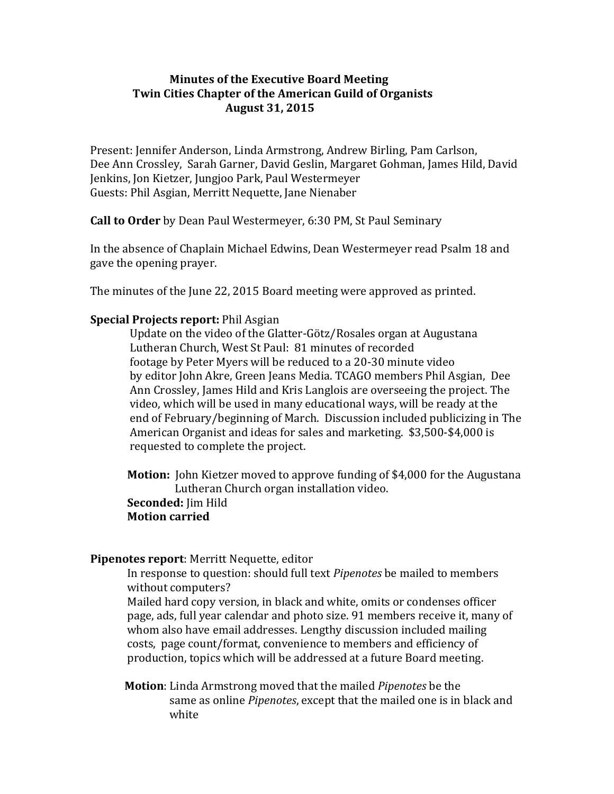# **Minutes of the Executive Board Meeting Twin Cities Chapter of the American Guild of Organists August 31, 2015**

Present: Jennifer Anderson, Linda Armstrong, Andrew Birling, Pam Carlson, Dee Ann Crossley, Sarah Garner, David Geslin, Margaret Gohman, James Hild, David Jenkins, Jon Kietzer, Jungjoo Park, Paul Westermeyer Guests: Phil Asgian, Merritt Nequette, Jane Nienaber

**Call to Order** by Dean Paul Westermeyer, 6:30 PM, St Paul Seminary

In the absence of Chaplain Michael Edwins, Dean Westermeyer read Psalm 18 and gave the opening prayer.

The minutes of the June 22, 2015 Board meeting were approved as printed.

# **Special Projects report:** Phil Asgian

 Update on the video of the Glatter-Götz/Rosales organ at Augustana Lutheran Church, West St Paul: 81 minutes of recorded footage by Peter Myers will be reduced to a 20-30 minute video by editor John Akre, Green Jeans Media. TCAGO members Phil Asgian, Dee Ann Crossley, James Hild and Kris Langlois are overseeing the project. The video, which will be used in many educational ways, will be ready at the end of February/beginning of March. Discussion included publicizing in The American Organist and ideas for sales and marketing. \$3,500-\$4,000 is requested to complete the project.

 **Motion:** John Kietzer moved to approve funding of \$4,000 for the Augustana Lutheran Church organ installation video.  **Seconded:** Jim Hild  **Motion carried**

#### **Pipenotes report**: Merritt Nequette, editor

 In response to question: should full text *Pipenotes* be mailed to members without computers?

 Mailed hard copy version, in black and white, omits or condenses officer page, ads, full year calendar and photo size. 91 members receive it, many of whom also have email addresses. Lengthy discussion included mailing costs, page count/format, convenience to members and efficiency of production, topics which will be addressed at a future Board meeting.

 **Motion**: Linda Armstrong moved that the mailed *Pipenotes* be the same as online *Pipenotes*, except that the mailed one is in black and white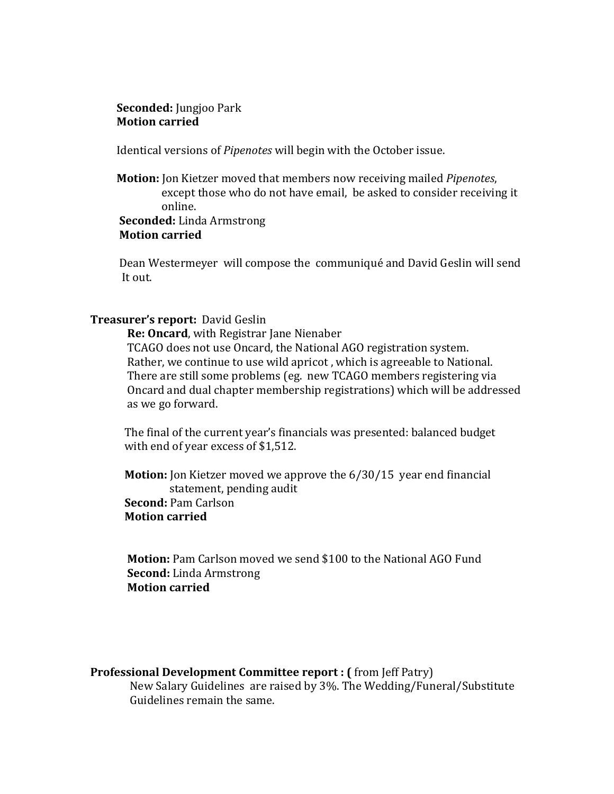#### **Seconded:** Jungjoo Park **Motion carried**

Identical versions of *Pipenotes* will begin with the October issue.

 **Motion:** Jon Kietzer moved that members now receiving mailed *Pipenotes*, except those who do not have email, be asked to consider receiving it online.  **Seconded:** Linda Armstrong

# **Motion carried**

 Dean Westermeyer will compose the communiqué and David Geslin will send It out.

### **Treasurer's report:** David Geslin

 **Re: Oncard**, with Registrar Jane Nienaber

 TCAGO does not use Oncard, the National AGO registration system. Rather, we continue to use wild apricot , which is agreeable to National. There are still some problems (eg. new TCAGO members registering via Oncard and dual chapter membership registrations) which will be addressed as we go forward.

 The final of the current year's financials was presented: balanced budget with end of year excess of \$1,512.

 **Motion:** Jon Kietzer moved we approve the 6/30/15 year end financial statement, pending audit  **Second:** Pam Carlson  **Motion carried**

 **Motion:** Pam Carlson moved we send \$100 to the National AGO Fund **Second:** Linda Armstrong **Motion carried**

# **Professional Development Committee report : (** from Jeff Patry)

 New Salary Guidelines are raised by 3%. The Wedding/Funeral/Substitute Guidelines remain the same.